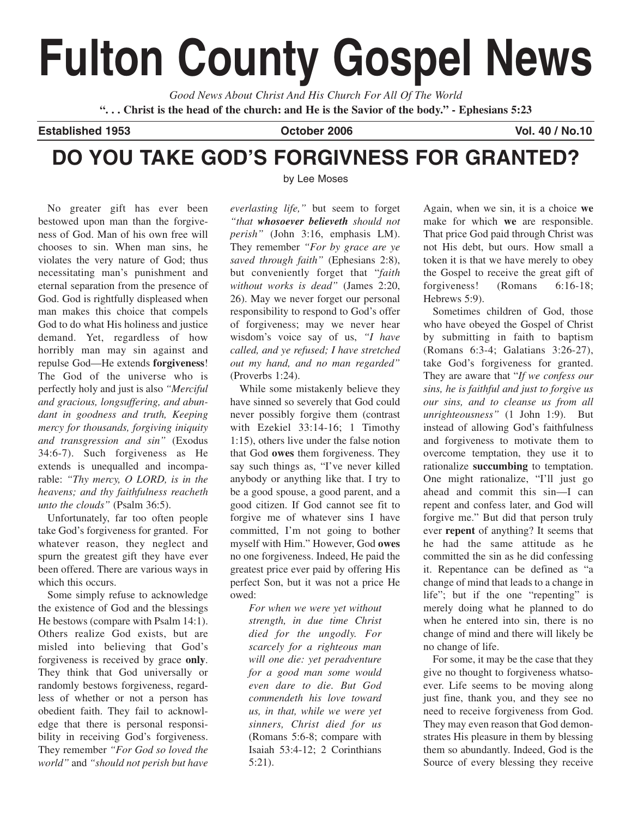# **Fulton County Gospel News**

*Good News About Christ And His Church For All Of The World* **". . . Christ is the head of the church: and He is the Savior of the body." - Ephesians 5:23**

**Established 1953 October 2006 Vol. 40 / No.10**

# **DO YOU TAKE GOD'S FORGIVNESS FOR GRANTED?**

No greater gift has ever been bestowed upon man than the forgiveness of God. Man of his own free will chooses to sin. When man sins, he violates the very nature of God; thus necessitating man's punishment and eternal separation from the presence of God. God is rightfully displeased when man makes this choice that compels God to do what His holiness and justice demand. Yet, regardless of how horribly man may sin against and repulse God—He extends **forgiveness**! The God of the universe who is perfectly holy and just is also *"Merciful and gracious, longsuffering, and abundant in goodness and truth, Keeping mercy for thousands, forgiving iniquity and transgression and sin"* (Exodus 34:6-7). Such forgiveness as He extends is unequalled and incomparable: *"Thy mercy, O LORD, is in the heavens; and thy faithfulness reacheth unto the clouds"* (Psalm 36:5).

Unfortunately, far too often people take God's forgiveness for granted. For whatever reason, they neglect and spurn the greatest gift they have ever been offered. There are various ways in which this occurs.

Some simply refuse to acknowledge the existence of God and the blessings He bestows (compare with Psalm 14:1). Others realize God exists, but are misled into believing that God's forgiveness is received by grace **only**. They think that God universally or randomly bestows forgiveness, regardless of whether or not a person has obedient faith. They fail to acknowledge that there is personal responsibility in receiving God's forgiveness. They remember *"For God so loved the world"* and *"should not perish but have* by Lee Moses

*everlasting life,"* but seem to forget *"that whosoever believeth should not perish"* (John 3:16, emphasis LM). They remember *"For by grace are ye saved through faith"* (Ephesians 2:8), but conveniently forget that "*faith without works is dead"* (James 2:20, 26). May we never forget our personal responsibility to respond to God's offer of forgiveness; may we never hear wisdom's voice say of us, *"I have called, and ye refused; I have stretched out my hand, and no man regarded"* (Proverbs 1:24).

While some mistakenly believe they have sinned so severely that God could never possibly forgive them (contrast with Ezekiel 33:14-16; 1 Timothy 1:15), others live under the false notion that God **owes** them forgiveness. They say such things as, "I've never killed anybody or anything like that. I try to be a good spouse, a good parent, and a good citizen. If God cannot see fit to forgive me of whatever sins I have committed, I'm not going to bother myself with Him." However, God **owes** no one forgiveness. Indeed, He paid the greatest price ever paid by offering His perfect Son, but it was not a price He owed:

*For when we were yet without strength, in due time Christ died for the ungodly. For scarcely for a righteous man will one die: yet peradventure for a good man some would even dare to die. But God commendeth his love toward us, in that, while we were yet sinners, Christ died for us* (Romans 5:6-8; compare with Isaiah 53:4-12; 2 Corinthians 5:21).

Again, when we sin, it is a choice **we** make for which **we** are responsible. That price God paid through Christ was not His debt, but ours. How small a token it is that we have merely to obey the Gospel to receive the great gift of forgiveness! (Romans 6:16-18; Hebrews 5:9).

Sometimes children of God, those who have obeyed the Gospel of Christ by submitting in faith to baptism (Romans 6:3-4; Galatians 3:26-27), take God's forgiveness for granted. They are aware that "*If we confess our sins, he is faithful and just to forgive us our sins, and to cleanse us from all unrighteousness"* (1 John 1:9). But instead of allowing God's faithfulness and forgiveness to motivate them to overcome temptation, they use it to rationalize **succumbing** to temptation. One might rationalize, "I'll just go ahead and commit this sin—I can repent and confess later, and God will forgive me." But did that person truly ever **repent** of anything? It seems that he had the same attitude as he committed the sin as he did confessing it. Repentance can be defined as "a change of mind that leads to a change in life"; but if the one "repenting" is merely doing what he planned to do when he entered into sin, there is no change of mind and there will likely be no change of life.

For some, it may be the case that they give no thought to forgiveness whatsoever. Life seems to be moving along just fine, thank you, and they see no need to receive forgiveness from God. They may even reason that God demonstrates His pleasure in them by blessing them so abundantly. Indeed, God is the Source of every blessing they receive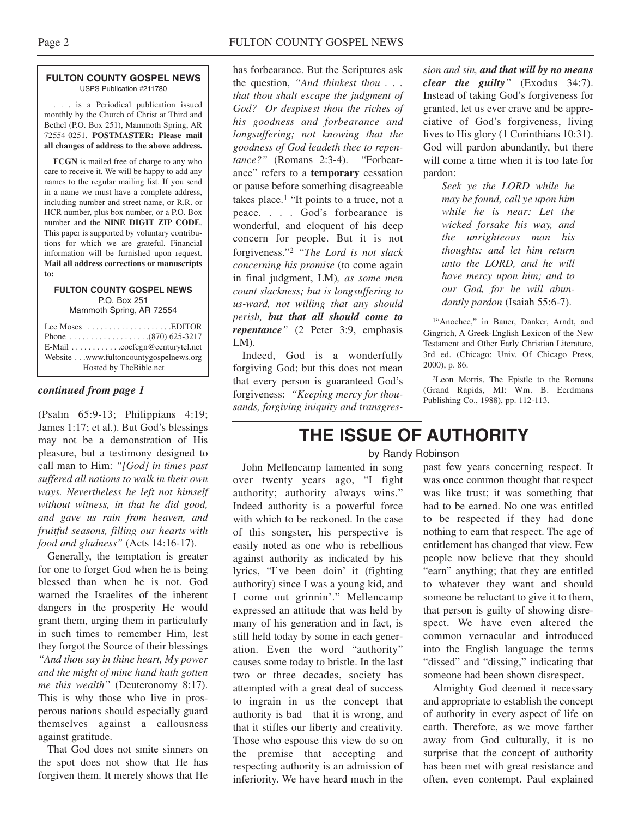#### **FULTON COUNTY GOSPEL NEWS** USPS Publication #211780

. . . is a Periodical publication issued monthly by the Church of Christ at Third and Bethel (P.O. Box 251), Mammoth Spring, AR 72554-0251. **POSTMASTER: Please mail all changes of address to the above address.**

**FCGN** is mailed free of charge to any who care to receive it. We will be happy to add any names to the regular mailing list. If you send in a name we must have a complete address, including number and street name, or R.R. or HCR number, plus box number, or a P.O. Box number and the **NINE DIGIT ZIP CODE**. This paper is supported by voluntary contributions for which we are grateful. Financial information will be furnished upon request. **Mail all address corrections or manuscripts to:**

#### **FULTON COUNTY GOSPEL NEWS** P.O. Box 251

Mammoth Spring, AR 72554

| Lee Moses $\dots\dots\dots\dots\dots\dots$ . EDITOR<br>E-Mail cocfcgn@centurytel.net<br>Website www.fultoncountygospelnews.org |
|--------------------------------------------------------------------------------------------------------------------------------|
|                                                                                                                                |
| Hosted by TheBible.net                                                                                                         |

#### *continued from page 1*

(Psalm 65:9-13; Philippians 4:19; James 1:17; et al.). But God's blessings may not be a demonstration of His pleasure, but a testimony designed to call man to Him: *"[God] in times past suffered all nations to walk in their own ways. Nevertheless he left not himself without witness, in that he did good, and gave us rain from heaven, and fruitful seasons, filling our hearts with food and gladness"* (Acts 14:16-17).

Generally, the temptation is greater for one to forget God when he is being blessed than when he is not. God warned the Israelites of the inherent dangers in the prosperity He would grant them, urging them in particularly in such times to remember Him, lest they forgot the Source of their blessings *"And thou say in thine heart, My power and the might of mine hand hath gotten me this wealth"* (Deuteronomy 8:17). This is why those who live in prosperous nations should especially guard themselves against a callousness against gratitude.

That God does not smite sinners on the spot does not show that He has forgiven them. It merely shows that He

has forbearance. But the Scriptures ask the question, *"And thinkest thou . . . that thou shalt escape the judgment of God? Or despisest thou the riches of his goodness and forbearance and longsuffering; not knowing that the goodness of God leadeth thee to repentance?"* (Romans 2:3-4). "Forbearance" refers to a **temporary** cessation or pause before something disagreeable takes place.<sup>1</sup> "It points to a truce, not a peace. . . . God's forbearance is wonderful, and eloquent of his deep concern for people. But it is not forgiveness."2 *"The Lord is not slack concerning his promise* (to come again in final judgment, LM)*, as some men count slackness; but is longsuffering to us-ward, not willing that any should perish, but that all should come to repentance"* (2 Peter 3:9, emphasis LM).

Indeed, God is a wonderfully forgiving God; but this does not mean that every person is guaranteed God's forgiveness: *"Keeping mercy for thousands, forgiving iniquity and transgres-*

*sion and sin, and that will by no means clear the guilty"* (Exodus 34:7). Instead of taking God's forgiveness for granted, let us ever crave and be appreciative of God's forgiveness, living lives to His glory (1 Corinthians 10:31). God will pardon abundantly, but there will come a time when it is too late for pardon:

> *Seek ye the LORD while he may be found, call ye upon him while he is near: Let the wicked forsake his way, and the unrighteous man his thoughts: and let him return unto the LORD, and he will have mercy upon him; and to our God, for he will abundantly pardon* (Isaiah 55:6-7).

1"Anochee," in Bauer, Danker, Arndt, and Gingrich, A Greek-English Lexicon of the New Testament and Other Early Christian Literature, 3rd ed. (Chicago: Univ. Of Chicago Press, 2000), p. 86.

2Leon Morris, The Epistle to the Romans (Grand Rapids, MI: Wm. B. Eerdmans Publishing Co., 1988), pp. 112-113.

## **THE ISSUE OF AUTHORITY**

#### by Randy Robinson

John Mellencamp lamented in song over twenty years ago, "I fight authority; authority always wins." Indeed authority is a powerful force with which to be reckoned. In the case of this songster, his perspective is easily noted as one who is rebellious against authority as indicated by his lyrics, "I've been doin' it (fighting authority) since I was a young kid, and I come out grinnin'." Mellencamp expressed an attitude that was held by many of his generation and in fact, is still held today by some in each generation. Even the word "authority" causes some today to bristle. In the last two or three decades, society has attempted with a great deal of success to ingrain in us the concept that authority is bad—that it is wrong, and that it stifles our liberty and creativity. Those who espouse this view do so on the premise that accepting and respecting authority is an admission of inferiority. We have heard much in the

past few years concerning respect. It was once common thought that respect was like trust; it was something that had to be earned. No one was entitled to be respected if they had done nothing to earn that respect. The age of entitlement has changed that view. Few people now believe that they should "earn" anything; that they are entitled to whatever they want and should someone be reluctant to give it to them, that person is guilty of showing disrespect. We have even altered the common vernacular and introduced into the English language the terms "dissed" and "dissing," indicating that someone had been shown disrespect.

Almighty God deemed it necessary and appropriate to establish the concept of authority in every aspect of life on earth. Therefore, as we move farther away from God culturally, it is no surprise that the concept of authority has been met with great resistance and often, even contempt. Paul explained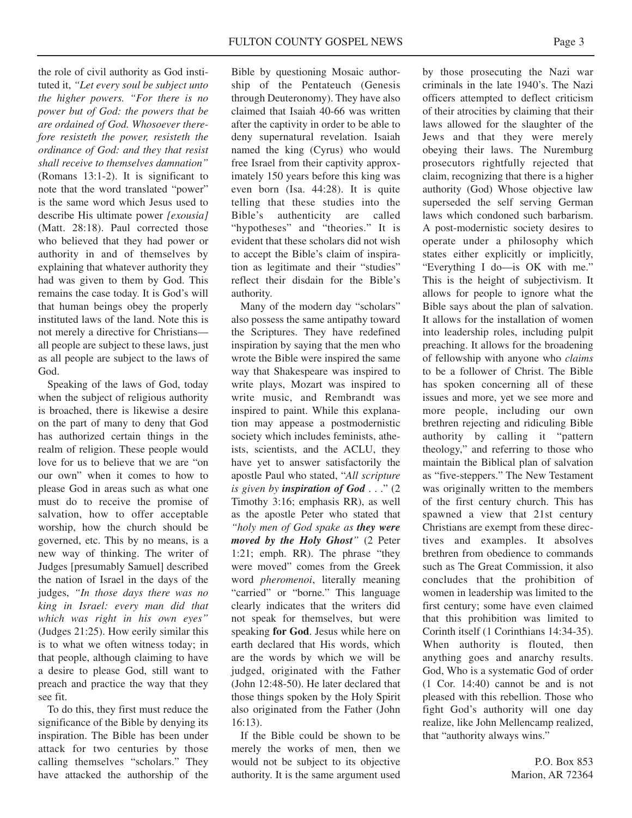the role of civil authority as God instituted it, *"Let every soul be subject unto the higher powers. "For there is no power but of God: the powers that be are ordained of God. Whosoever therefore resisteth the power, resisteth the ordinance of God: and they that resist shall receive to themselves damnation"* (Romans 13:1-2). It is significant to note that the word translated "power" is the same word which Jesus used to describe His ultimate power *[exousia]* (Matt. 28:18). Paul corrected those who believed that they had power or authority in and of themselves by explaining that whatever authority they had was given to them by God. This remains the case today. It is God's will that human beings obey the properly instituted laws of the land. Note this is not merely a directive for Christians all people are subject to these laws, just as all people are subject to the laws of God.

Speaking of the laws of God, today when the subject of religious authority is broached, there is likewise a desire on the part of many to deny that God has authorized certain things in the realm of religion. These people would love for us to believe that we are "on our own" when it comes to how to please God in areas such as what one must do to receive the promise of salvation, how to offer acceptable worship, how the church should be governed, etc. This by no means, is a new way of thinking. The writer of Judges [presumably Samuel] described the nation of Israel in the days of the judges, *"In those days there was no king in Israel: every man did that which was right in his own eyes"* (Judges 21:25). How eerily similar this is to what we often witness today; in that people, although claiming to have a desire to please God, still want to preach and practice the way that they see fit.

To do this, they first must reduce the significance of the Bible by denying its inspiration. The Bible has been under attack for two centuries by those calling themselves "scholars." They have attacked the authorship of the

Bible by questioning Mosaic authorship of the Pentateuch (Genesis through Deuteronomy). They have also claimed that Isaiah 40-66 was written after the captivity in order to be able to deny supernatural revelation. Isaiah named the king (Cyrus) who would free Israel from their captivity approximately 150 years before this king was even born (Isa. 44:28). It is quite telling that these studies into the Bible's authenticity are called "hypotheses" and "theories." It is evident that these scholars did not wish to accept the Bible's claim of inspiration as legitimate and their "studies" reflect their disdain for the Bible's authority.

Many of the modern day "scholars" also possess the same antipathy toward the Scriptures. They have redefined inspiration by saying that the men who wrote the Bible were inspired the same way that Shakespeare was inspired to write plays, Mozart was inspired to write music, and Rembrandt was inspired to paint. While this explanation may appease a postmodernistic society which includes feminists, atheists, scientists, and the ACLU, they have yet to answer satisfactorily the apostle Paul who stated, "*All scripture is given by inspiration of God* . . ." (2 Timothy 3:16; emphasis RR), as well as the apostle Peter who stated that *"holy men of God spake as they were moved by the Holy Ghost"* (2 Peter 1:21; emph. RR). The phrase "they were moved" comes from the Greek word *pheromenoi*, literally meaning "carried" or "borne." This language clearly indicates that the writers did not speak for themselves, but were speaking **for God**. Jesus while here on earth declared that His words, which are the words by which we will be judged, originated with the Father (John 12:48-50). He later declared that those things spoken by the Holy Spirit also originated from the Father (John 16:13).

If the Bible could be shown to be merely the works of men, then we would not be subject to its objective authority. It is the same argument used

by those prosecuting the Nazi war criminals in the late 1940's. The Nazi officers attempted to deflect criticism of their atrocities by claiming that their laws allowed for the slaughter of the Jews and that they were merely obeying their laws. The Nuremburg prosecutors rightfully rejected that claim, recognizing that there is a higher authority (God) Whose objective law superseded the self serving German laws which condoned such barbarism. A post-modernistic society desires to operate under a philosophy which states either explicitly or implicitly, "Everything I do—is OK with me." This is the height of subjectivism. It allows for people to ignore what the Bible says about the plan of salvation. It allows for the installation of women into leadership roles, including pulpit preaching. It allows for the broadening of fellowship with anyone who *claims* to be a follower of Christ. The Bible has spoken concerning all of these issues and more, yet we see more and more people, including our own brethren rejecting and ridiculing Bible authority by calling it "pattern theology," and referring to those who maintain the Biblical plan of salvation as "five-steppers." The New Testament was originally written to the members of the first century church. This has spawned a view that 21st century Christians are exempt from these directives and examples. It absolves brethren from obedience to commands such as The Great Commission, it also concludes that the prohibition of women in leadership was limited to the first century; some have even claimed that this prohibition was limited to Corinth itself (1 Corinthians 14:34-35). When authority is flouted, then anything goes and anarchy results. God, Who is a systematic God of order (1 Cor. 14:40) cannot be and is not pleased with this rebellion. Those who fight God's authority will one day realize, like John Mellencamp realized, that "authority always wins."

> P.O. Box 853 Marion, AR 72364